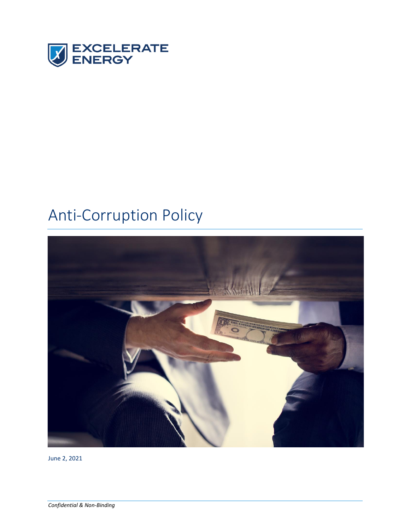

# Anti-Corruption Policy



June 2, 2021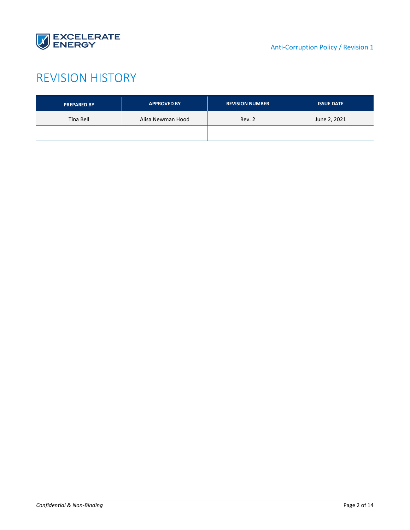

# REVISION HISTORY

| <b>PREPARED BY</b> | <b>APPROVED BY</b> | <b>REVISION NUMBER</b> | <b>ISSUE DATE</b> |
|--------------------|--------------------|------------------------|-------------------|
| Tina Bell          | Alisa Newman Hood  | Rev. 2                 | June 2, 2021      |
|                    |                    |                        |                   |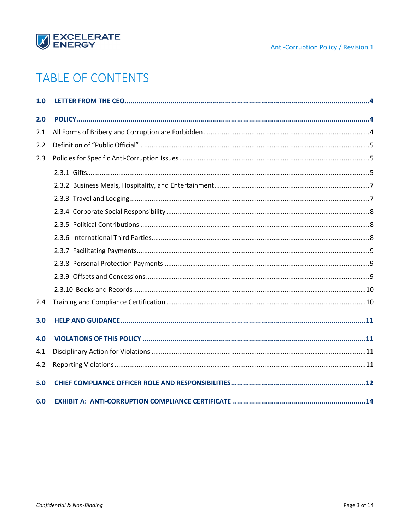

# **TABLE OF CONTENTS**

| 1.0 |  |
|-----|--|
| 2.0 |  |
| 2.1 |  |
| 2.2 |  |
| 2.3 |  |
|     |  |
|     |  |
|     |  |
|     |  |
|     |  |
|     |  |
|     |  |
|     |  |
|     |  |
|     |  |
| 2.4 |  |
| 3.0 |  |
| 4.0 |  |
| 4.1 |  |
| 4.2 |  |
| 5.0 |  |
| 6.0 |  |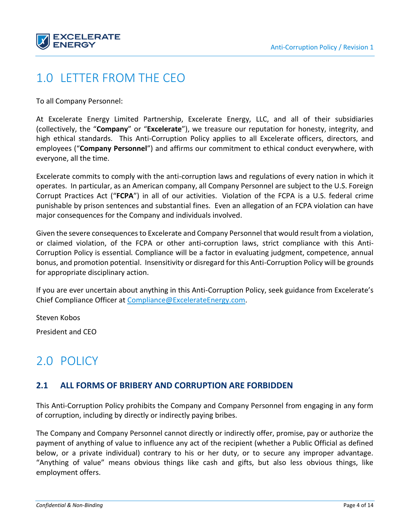

# <span id="page-3-0"></span>1.0 LETTER FROM THE CEO

To all Company Personnel:

At Excelerate Energy Limited Partnership, Excelerate Energy, LLC, and all of their subsidiaries (collectively, the "**Company**" or "**Excelerate**"), we treasure our reputation for honesty, integrity, and high ethical standards. This Anti-Corruption Policy applies to all Excelerate officers, directors, and employees ("**Company Personnel**") and affirms our commitment to ethical conduct everywhere, with everyone, all the time.

Excelerate commits to comply with the anti-corruption laws and regulations of every nation in which it operates. In particular, as an American company, all Company Personnel are subject to the U.S. Foreign Corrupt Practices Act ("**FCPA**") in all of our activities. Violation of the FCPA is a U.S. federal crime punishable by prison sentences and substantial fines. Even an allegation of an FCPA violation can have major consequences for the Company and individuals involved.

Given the severe consequences to Excelerate and Company Personnel that would result from a violation, or claimed violation, of the FCPA or other anti-corruption laws, strict compliance with this Anti-Corruption Policy is essential*.* Compliance will be a factor in evaluating judgment, competence, annual bonus, and promotion potential. Insensitivity or disregard for this Anti-Corruption Policy will be grounds for appropriate disciplinary action.

If you are ever uncertain about anything in this Anti-Corruption Policy, seek guidance from Excelerate's Chief Compliance Officer at [Compliance@ExcelerateEnergy.com.](mailto:Compliance@ExcelerateEnergy.com)

Steven Kobos

<span id="page-3-1"></span>President and CEO

# 2.0 POLICY

### <span id="page-3-2"></span>**2.1 ALL FORMS OF BRIBERY AND CORRUPTION ARE FORBIDDEN**

This Anti-Corruption Policy prohibits the Company and Company Personnel from engaging in any form of corruption, including by directly or indirectly paying bribes.

The Company and Company Personnel cannot directly or indirectly offer, promise, pay or authorize the payment of anything of value to influence any act of the recipient (whether a Public Official as defined below, or a private individual) contrary to his or her duty, or to secure any improper advantage. "Anything of value" means obvious things like cash and gifts, but also less obvious things, like employment offers.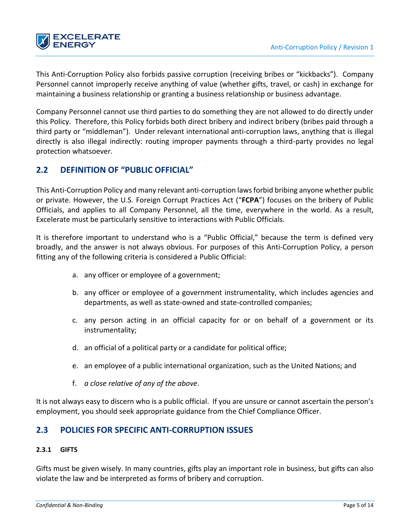

This Anti-Corruption Policy also forbids passive corruption (receiving bribes or "kickbacks"). Company Personnel cannot improperly receive anything of value (whether gifts, travel, or cash) in exchange for maintaining a business relationship or granting a business relationship or business advantage.

Company Personnel cannot use third parties to do something they are not allowed to do directly under this Policy. Therefore, this Policy forbids both direct bribery and indirect bribery (bribes paid through a third party or "middleman"). Under relevant international anti-corruption laws, anything that is illegal directly is also illegal indirectly: routing improper payments through a third-party provides no legal protection whatsoever.

### <span id="page-4-0"></span>**2.2 DEFINITION OF "PUBLIC OFFICIAL"**

This Anti-Corruption Policy and many relevant anti-corruption laws forbid bribing anyone whether public or private. However, the U.S. Foreign Corrupt Practices Act ("**FCPA**") focuses on the bribery of Public Officials, and applies to all Company Personnel, all the time, everywhere in the world. As a result, Excelerate must be particularly sensitive to interactions with Public Officials.

It is therefore important to understand who is a "Public Official," because the term is defined very broadly, and the answer is not always obvious. For purposes of this Anti-Corruption Policy, a person fitting any of the following criteria is considered a Public Official:

- a. any officer or employee of a government;
- b. any officer or employee of a government instrumentality, which includes agencies and departments, as well as state-owned and state-controlled companies;
- c. any person acting in an official capacity for or on behalf of a government or its instrumentality;
- d. an official of a political party or a candidate for political office;
- e. an employee of a public international organization, such as the United Nations; and
- f. *a close relative of any of the above*.

It is not always easy to discern who is a public official. If you are unsure or cannot ascertain the person's employment, you should seek appropriate guidance from the Chief Compliance Officer.

### <span id="page-4-1"></span>**2.3 POLICIES FOR SPECIFIC ANTI-CORRUPTION ISSUES**

#### <span id="page-4-2"></span>**2.3.1 GIFTS**

Gifts must be given wisely. In many countries, gifts play an important role in business, but gifts can also violate the law and be interpreted as forms of bribery and corruption.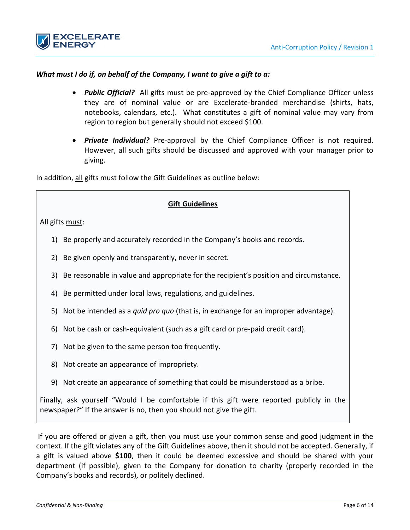



#### *What must I do if, on behalf of the Company, I want to give a gift to a:*

- *Public Official?* All gifts must be pre-approved by the Chief Compliance Officer unless they are of nominal value or are Excelerate-branded merchandise (shirts, hats, notebooks, calendars, etc.). What constitutes a gift of nominal value may vary from region to region but generally should not exceed \$100.
- *Private Individual?* Pre-approval by the Chief Compliance Officer is not required. However, all such gifts should be discussed and approved with your manager prior to giving.

In addition, all gifts must follow the Gift Guidelines as outline below:

#### **Gift Guidelines**

All gifts must:

- 1) Be properly and accurately recorded in the Company's books and records.
- 2) Be given openly and transparently, never in secret.
- 3) Be reasonable in value and appropriate for the recipient's position and circumstance.
- 4) Be permitted under local laws, regulations, and guidelines.
- 5) Not be intended as a *quid pro quo* (that is, in exchange for an improper advantage).
- 6) Not be cash or cash-equivalent (such as a gift card or pre-paid credit card).
- 7) Not be given to the same person too frequently.
- 8) Not create an appearance of impropriety.
- 9) Not create an appearance of something that could be misunderstood as a bribe.

Finally, ask yourself "Would I be comfortable if this gift were reported publicly in the newspaper?" If the answer is no, then you should not give the gift.

If you are offered or given a gift, then you must use your common sense and good judgment in the context. If the gift violates any of the Gift Guidelines above, then it should not be accepted. Generally, if a gift is valued above **\$100**, then it could be deemed excessive and should be shared with your department (if possible), given to the Company for donation to charity (properly recorded in the Company's books and records), or politely declined.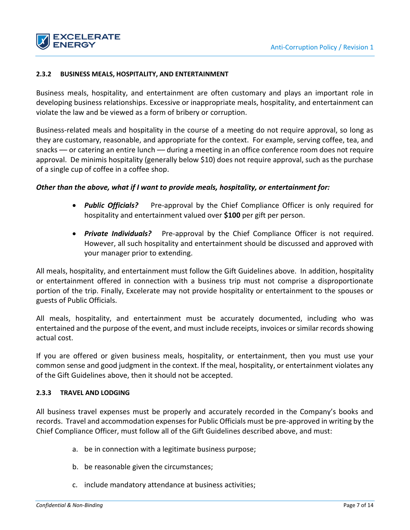

#### <span id="page-6-0"></span>**2.3.2 BUSINESS MEALS, HOSPITALITY, AND ENTERTAINMENT**

Business meals, hospitality, and entertainment are often customary and plays an important role in developing business relationships. Excessive or inappropriate meals, hospitality, and entertainment can violate the law and be viewed as a form of bribery or corruption.

Business-related meals and hospitality in the course of a meeting do not require approval, so long as they are customary, reasonable, and appropriate for the context. For example, serving coffee, tea, and snacks — or catering an entire lunch — during a meeting in an office conference room does not require approval. De minimis hospitality (generally below \$10) does not require approval, such as the purchase of a single cup of coffee in a coffee shop.

#### *Other than the above, what if I want to provide meals, hospitality, or entertainment for:*

- **Public Officials?** Pre-approval by the Chief Compliance Officer is only required for hospitality and entertainment valued over **\$100** per gift per person.
- **Private Individuals?** Pre-approval by the Chief Compliance Officer is not required. However, all such hospitality and entertainment should be discussed and approved with your manager prior to extending.

All meals, hospitality, and entertainment must follow the Gift Guidelines above. In addition, hospitality or entertainment offered in connection with a business trip must not comprise a disproportionate portion of the trip. Finally, Excelerate may not provide hospitality or entertainment to the spouses or guests of Public Officials.

All meals, hospitality, and entertainment must be accurately documented, including who was entertained and the purpose of the event, and must include receipts, invoices or similar records showing actual cost.

If you are offered or given business meals, hospitality, or entertainment, then you must use your common sense and good judgment in the context. If the meal, hospitality, or entertainment violates any of the Gift Guidelines above, then it should not be accepted.

#### <span id="page-6-1"></span>**2.3.3 TRAVEL AND LODGING**

All business travel expenses must be properly and accurately recorded in the Company's books and records. Travel and accommodation expenses for Public Officials must be pre-approved in writing by the Chief Compliance Officer, must follow all of the Gift Guidelines described above, and must:

- a. be in connection with a legitimate business purpose;
- b. be reasonable given the circumstances;
- c. include mandatory attendance at business activities;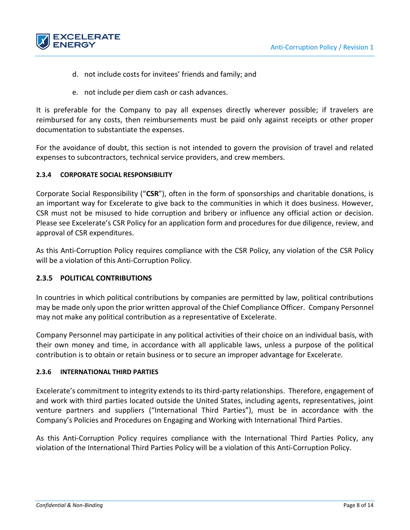

- d. not include costs for invitees' friends and family; and
- e. not include per diem cash or cash advances.

It is preferable for the Company to pay all expenses directly wherever possible; if travelers are reimbursed for any costs, then reimbursements must be paid only against receipts or other proper documentation to substantiate the expenses.

For the avoidance of doubt, this section is not intended to govern the provision of travel and related expenses to subcontractors, technical service providers, and crew members.

#### <span id="page-7-0"></span>**2.3.4 CORPORATE SOCIAL RESPONSIBILITY**

Corporate Social Responsibility ("**CSR**"), often in the form of sponsorships and charitable donations, is an important way for Excelerate to give back to the communities in which it does business. However, CSR must not be misused to hide corruption and bribery or influence any official action or decision. Please see Excelerate's CSR Policy for an application form and procedures for due diligence, review, and approval of CSR expenditures.

As this Anti-Corruption Policy requires compliance with the CSR Policy, any violation of the CSR Policy will be a violation of this Anti-Corruption Policy.

#### <span id="page-7-1"></span>**2.3.5 POLITICAL CONTRIBUTIONS**

In countries in which political contributions by companies are permitted by law, political contributions may be made only upon the prior written approval of the Chief Compliance Officer. Company Personnel may not make any political contribution as a representative of Excelerate.

Company Personnel may participate in any political activities of their choice on an individual basis, with their own money and time, in accordance with all applicable laws, unless a purpose of the political contribution is to obtain or retain business or to secure an improper advantage for Excelerate.

#### <span id="page-7-2"></span>**2.3.6 INTERNATIONAL THIRD PARTIES**

Excelerate's commitment to integrity extends to its third-party relationships. Therefore, engagement of and work with third parties located outside the United States, including agents, representatives, joint venture partners and suppliers ("International Third Parties"), must be in accordance with the Company's Policies and Procedures on Engaging and Working with International Third Parties.

As this Anti-Corruption Policy requires compliance with the International Third Parties Policy, any violation of the International Third Parties Policy will be a violation of this Anti-Corruption Policy.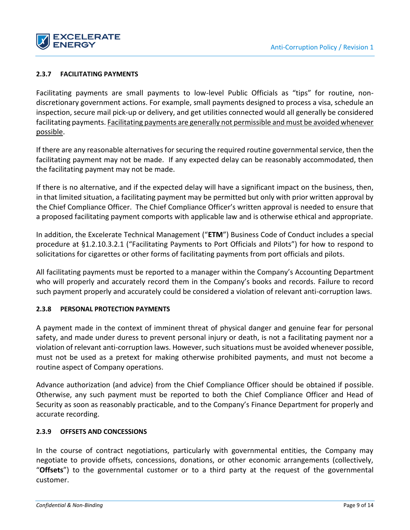

#### <span id="page-8-0"></span>**2.3.7 FACILITATING PAYMENTS**

Facilitating payments are small payments to low-level Public Officials as "tips" for routine, nondiscretionary government actions. For example, small payments designed to process a visa, schedule an inspection, secure mail pick-up or delivery, and get utilities connected would all generally be considered facilitating payments. Facilitating payments are generally not permissible and must be avoided whenever possible.

If there are any reasonable alternatives for securing the required routine governmental service, then the facilitating payment may not be made. If any expected delay can be reasonably accommodated, then the facilitating payment may not be made.

If there is no alternative, and if the expected delay will have a significant impact on the business, then, in that limited situation, a facilitating payment may be permitted but only with prior written approval by the Chief Compliance Officer. The Chief Compliance Officer's written approval is needed to ensure that a proposed facilitating payment comports with applicable law and is otherwise ethical and appropriate.

In addition, the Excelerate Technical Management ("**ETM**") Business Code of Conduct includes a special procedure at §1.2.10.3.2.1 ("Facilitating Payments to Port Officials and Pilots") for how to respond to solicitations for cigarettes or other forms of facilitating payments from port officials and pilots.

All facilitating payments must be reported to a manager within the Company's Accounting Department who will properly and accurately record them in the Company's books and records. Failure to record such payment properly and accurately could be considered a violation of relevant anti-corruption laws.

#### <span id="page-8-1"></span>**2.3.8 PERSONAL PROTECTION PAYMENTS**

A payment made in the context of imminent threat of physical danger and genuine fear for personal safety, and made under duress to prevent personal injury or death, is not a facilitating payment nor a violation of relevant anti-corruption laws. However, such situations must be avoided whenever possible, must not be used as a pretext for making otherwise prohibited payments, and must not become a routine aspect of Company operations.

Advance authorization (and advice) from the Chief Compliance Officer should be obtained if possible. Otherwise, any such payment must be reported to both the Chief Compliance Officer and Head of Security as soon as reasonably practicable, and to the Company's Finance Department for properly and accurate recording.

#### <span id="page-8-2"></span>**2.3.9 OFFSETS AND CONCESSIONS**

In the course of contract negotiations, particularly with governmental entities, the Company may negotiate to provide offsets, concessions, donations, or other economic arrangements (collectively, "**Offsets**") to the governmental customer or to a third party at the request of the governmental customer.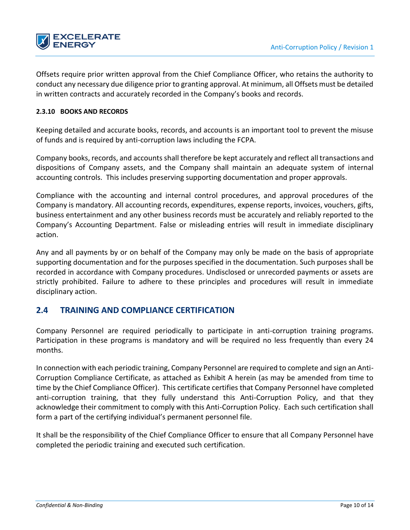

Offsets require prior written approval from the Chief Compliance Officer, who retains the authority to conduct any necessary due diligence prior to granting approval. At minimum, all Offsets must be detailed in written contracts and accurately recorded in the Company's books and records.

#### <span id="page-9-0"></span>**2.3.10 BOOKS AND RECORDS**

Keeping detailed and accurate books, records, and accounts is an important tool to prevent the misuse of funds and is required by anti-corruption laws including the FCPA.

Company books, records, and accounts shall therefore be kept accurately and reflect all transactions and dispositions of Company assets, and the Company shall maintain an adequate system of internal accounting controls. This includes preserving supporting documentation and proper approvals.

Compliance with the accounting and internal control procedures, and approval procedures of the Company is mandatory. All accounting records, expenditures, expense reports, invoices, vouchers, gifts, business entertainment and any other business records must be accurately and reliably reported to the Company's Accounting Department. False or misleading entries will result in immediate disciplinary action.

Any and all payments by or on behalf of the Company may only be made on the basis of appropriate supporting documentation and for the purposes specified in the documentation. Such purposes shall be recorded in accordance with Company procedures. Undisclosed or unrecorded payments or assets are strictly prohibited. Failure to adhere to these principles and procedures will result in immediate disciplinary action.

### <span id="page-9-1"></span>**2.4 TRAINING AND COMPLIANCE CERTIFICATION**

Company Personnel are required periodically to participate in anti-corruption training programs. Participation in these programs is mandatory and will be required no less frequently than every 24 months.

In connection with each periodic training, Company Personnel are required to complete and sign an Anti-Corruption Compliance Certificate, as attached as Exhibit A herein (as may be amended from time to time by the Chief Compliance Officer). This certificate certifies that Company Personnel have completed anti-corruption training, that they fully understand this Anti-Corruption Policy, and that they acknowledge their commitment to comply with this Anti-Corruption Policy. Each such certification shall form a part of the certifying individual's permanent personnel file.

It shall be the responsibility of the Chief Compliance Officer to ensure that all Company Personnel have completed the periodic training and executed such certification.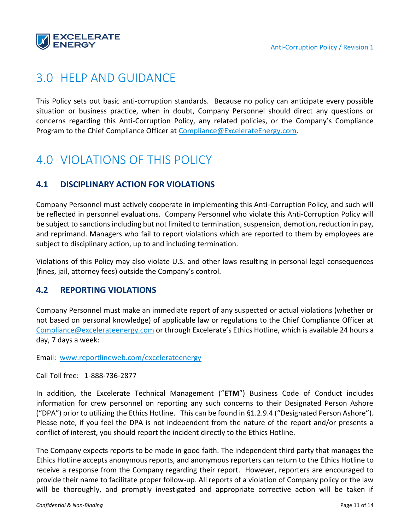

### <span id="page-10-0"></span>3.0 HELP AND GUIDANCE

This Policy sets out basic anti-corruption standards. Because no policy can anticipate every possible situation or business practice, when in doubt, Company Personnel should direct any questions or concerns regarding this Anti-Corruption Policy, any related policies, or the Company's Compliance Program to the Chief Compliance Officer at [Compliance@ExcelerateEnergy.com.](mailto:Compliance@ExcelerateEnergy.com)

### <span id="page-10-1"></span>4.0 VIOLATIONS OF THIS POLICY

### <span id="page-10-2"></span>**4.1 DISCIPLINARY ACTION FOR VIOLATIONS**

Company Personnel must actively cooperate in implementing this Anti-Corruption Policy, and such will be reflected in personnel evaluations. Company Personnel who violate this Anti-Corruption Policy will be subject to sanctions including but not limited to termination, suspension, demotion, reduction in pay, and reprimand. Managers who fail to report violations which are reported to them by employees are subject to disciplinary action, up to and including termination.

Violations of this Policy may also violate U.S. and other laws resulting in personal legal consequences (fines, jail, attorney fees) outside the Company's control.

### <span id="page-10-3"></span>**4.2 REPORTING VIOLATIONS**

Company Personnel must make an immediate report of any suspected or actual violations (whether or not based on personal knowledge) of applicable law or regulations to the Chief Compliance Officer at [Compliance@excelerateenergy.com](mailto:Compliance@excelerateenergy.com) or through Excelerate's Ethics Hotline, which is available 24 hours a day, 7 days a week:

Email: [www.reportlineweb.com/excelerateenergy](http://www.reportlineweb.com/excelerateenergy)

Call Toll free: 1-888-736-2877

In addition, the Excelerate Technical Management ("**ETM**") Business Code of Conduct includes information for crew personnel on reporting any such concerns to their Designated Person Ashore ("DPA") prior to utilizing the Ethics Hotline. This can be found in §1.2.9.4 ("Designated Person Ashore"). Please note, if you feel the DPA is not independent from the nature of the report and/or presents a conflict of interest, you should report the incident directly to the Ethics Hotline.

The Company expects reports to be made in good faith. The independent third party that manages the Ethics Hotline accepts anonymous reports, and anonymous reporters can return to the Ethics Hotline to receive a response from the Company regarding their report. However, reporters are encouraged to provide their name to facilitate proper follow-up. All reports of a violation of Company policy or the law will be thoroughly, and promptly investigated and appropriate corrective action will be taken if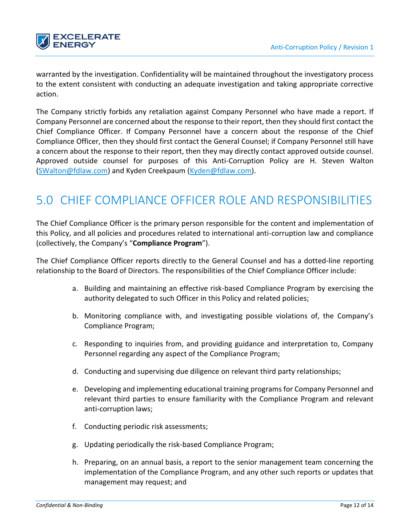

warranted by the investigation. Confidentiality will be maintained throughout the investigatory process to the extent consistent with conducting an adequate investigation and taking appropriate corrective action.

The Company strictly forbids any retaliation against Company Personnel who have made a report. If Company Personnel are concerned about the response to their report, then they should first contact the Chief Compliance Officer. If Company Personnel have a concern about the response of the Chief Compliance Officer, then they should first contact the General Counsel; if Company Personnel still have a concern about the response to their report, then they may directly contact approved outside counsel. Approved outside counsel for purposes of this Anti-Corruption Policy are H. Steven Walton [\(SWalton@fdlaw.com\)](mailto:SWalton@fdlaw.com) and Kyden Creekpaum [\(Kyden@fdlaw.com\)](mailto:Kyden@fdlaw.com).

# <span id="page-11-0"></span>5.0 CHIEF COMPLIANCE OFFICER ROLE AND RESPONSIBILITIES

The Chief Compliance Officer is the primary person responsible for the content and implementation of this Policy, and all policies and procedures related to international anti-corruption law and compliance (collectively, the Company's "**Compliance Program**").

The Chief Compliance Officer reports directly to the General Counsel and has a dotted-line reporting relationship to the Board of Directors. The responsibilities of the Chief Compliance Officer include:

- a. Building and maintaining an effective risk-based Compliance Program by exercising the authority delegated to such Officer in this Policy and related policies;
- b. Monitoring compliance with, and investigating possible violations of, the Company's Compliance Program;
- c. Responding to inquiries from, and providing guidance and interpretation to, Company Personnel regarding any aspect of the Compliance Program;
- d. Conducting and supervising due diligence on relevant third party relationships;
- e. Developing and implementing educational training programs for Company Personnel and relevant third parties to ensure familiarity with the Compliance Program and relevant anti-corruption laws;
- f. Conducting periodic risk assessments;
- g. Updating periodically the risk-based Compliance Program;
- h. Preparing, on an annual basis, a report to the senior management team concerning the implementation of the Compliance Program, and any other such reports or updates that management may request; and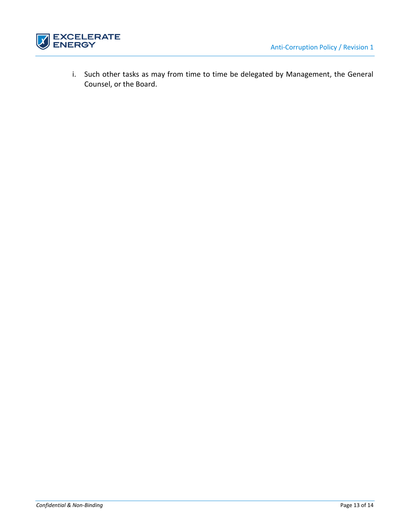

i. Such other tasks as may from time to time be delegated by Management, the General Counsel, or the Board.